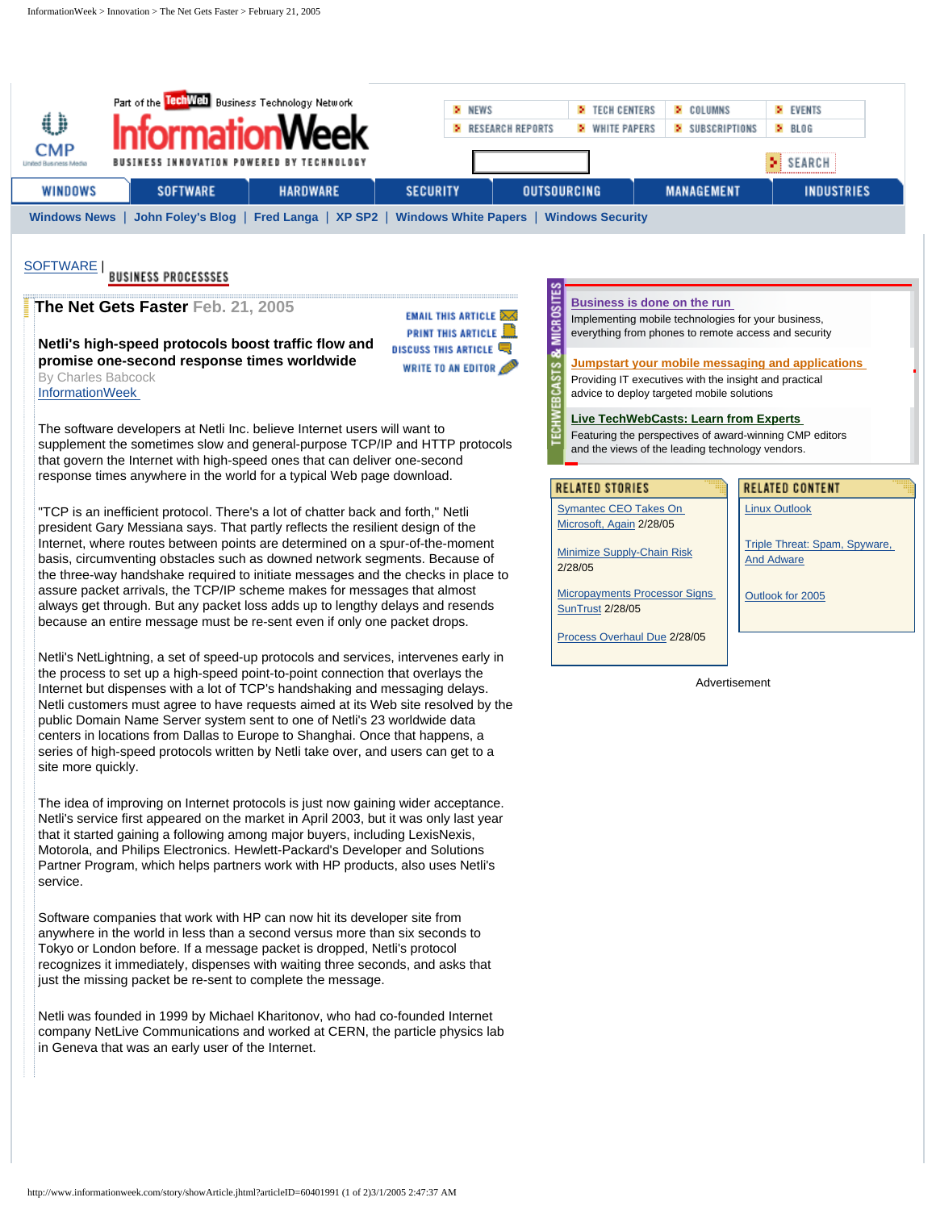<span id="page-0-0"></span>

| o<br><b>CMP</b><br>United Business Media                                                                                   | Part of the <b>TechWeb</b> Business Technology Network<br>nformationWeek<br>BUSINESS INNOVATION POWERED BY TECHNOLOGY |                 | > NEWS          | <b>E</b> TECH CENTERS<br><b>2</b> WHITE PAPERS<br><b>E</b> RESEARCH REPORTS | > COLUMNS<br>SUBSCRIPTIONS | <b>EVENTS</b><br>> BLOG<br>$>$ SEARCH |
|----------------------------------------------------------------------------------------------------------------------------|-----------------------------------------------------------------------------------------------------------------------|-----------------|-----------------|-----------------------------------------------------------------------------|----------------------------|---------------------------------------|
| WINDOWS                                                                                                                    | <b>SOFTWARE</b>                                                                                                       | <b>HARDWARE</b> | <b>SECURITY</b> | <b>OUTSOURCING</b>                                                          | <b>MANAGEMENT</b>          | <b>INDUSTRIES</b>                     |
| John Foley's Blog   Fred Langa   XP SP2  <br><b>Windows White Papers</b><br><b>Windows Security</b><br><b>Windows News</b> |                                                                                                                       |                 |                 |                                                                             |                            |                                       |

**EMAIL THIS ARTICLE XX** 

WRITE TO AN EDITOR

**PRINT THIS ARTICLE DISCUSS THIS ARTICLE** 

# [SOFTWARE](http://www.informationweek.com/techcenters/sw) | BUSINESS PROCESSSES

# **The Net Gets Faster Feb. 21, 2005**

**Netli's high-speed protocols boost traffic flow and promise one-second response times worldwide** By Charles Babcock [InformationWeek](http://www.informationweek.com/;jsessionid=ITCNYERSS352KQSNDBCCKHSCJUMEKJVN)

The software developers at Netli Inc. believe Internet users will want to supplement the sometimes slow and general-purpose TCP/IP and HTTP protocols that govern the Internet with high-speed ones that can deliver one-second response times anywhere in the world for a typical Web page download.

"TCP is an inefficient protocol. There's a lot of chatter back and forth," Netli president Gary Messiana says. That partly reflects the resilient design of the Internet, where routes between points are determined on a spur-of-the-moment basis, circumventing obstacles such as downed network segments. Because of the three-way handshake required to initiate messages and the checks in place to assure packet arrivals, the TCP/IP scheme makes for messages that almost always get through. But any packet loss adds up to lengthy delays and resends because an entire message must be re-sent even if only one packet drops.

Netli's NetLightning, a set of speed-up protocols and services, intervenes early in the process to set up a high-speed point-to-point connection that overlays the Internet but dispenses with a lot of TCP's handshaking and messaging delays. Netli customers must agree to have requests aimed at its Web site resolved by the public Domain Name Server system sent to one of Netli's 23 worldwide data centers in locations from Dallas to Europe to Shanghai. Once that happens, a series of high-speed protocols written by Netli take over, and users can get to a site more quickly.

The idea of improving on Internet protocols is just now gaining wider acceptance. Netli's service first appeared on the market in April 2003, but it was only last year that it started gaining a following among major buyers, including LexisNexis, Motorola, and Philips Electronics. Hewlett-Packard's Developer and Solutions Partner Program, which helps partners work with HP products, also uses Netli's service.

Software companies that work with HP can now hit its developer site from anywhere in the world in less than a second versus more than six seconds to Tokyo or London before. If a message packet is dropped, Netli's protocol recognizes it immediately, dispenses with waiting three seconds, and asks that just the missing packet be re-sent to complete the message.

Netli was founded in 1999 by Michael Kharitonov, who had co-founded Internet company NetLive Communications and worked at CERN, the particle physics lab in Geneva that was an early user of the Internet.

#### **[Business is done on the run](http://as.cmpnet.com/event.ng/Type=click&FlightID=34276&AdID=55168&TargetID=4189&Segments=1411,3108,3448,5029&Targets=2625,2878,4189&Values=34,46,51,63,77,82,90,100,140,222,227,442,479,600,646,656,1108,1184,1311,1388,1431,1716,1767,1785,1901,1925,1945,1970,2218,2299,2310,2313,2326,2352,2600,2623,2678,2757,2767,2862,2878&RawValues=&Redirect=http://mobilebiz.techweb.com/)**

Implementing mobile technologies for your business, everything from phones to remote access and security

#### **[Jumpstart your mobile messaging and applications](http://as.cmpnet.com/event.ng/Type=click&FlightID=34276&AdID=55168&TargetID=4189&Segments=1411,3108,3448,5029&Targets=2625,2878,4189&Values=34,46,51,63,77,82,90,100,140,222,227,442,479,600,646,656,1108,1184,1311,1388,1431,1716,1767,1785,1901,1925,1945,1970,2218,2299,2310,2313,2326,2352,2600,2623,2678,2757,2767,2862,2878&RawValues=&Redirect=http://wirelesstech.techweb.com/)**

Providing IT executives with the insight and practical advice to deploy targeted mobile solutions

**[Live TechWebCasts: Learn from Experts](http://as.cmpnet.com/event.ng/Type=click&FlightID=34276&AdID=55168&TargetID=4189&Segments=1411,3108,3448,5029&Targets=2625,2878,4189&Values=34,46,51,63,77,82,90,100,140,222,227,442,479,600,646,656,1108,1184,1311,1388,1431,1716,1767,1785,1901,1925,1945,1970,2218,2299,2310,2313,2326,2352,2600,2623,2678,2757,2767,2862,2878&RawValues=&Redirect=http://www.techweb.com/webcasts)** 

Featuring the perspectives of award-winning CMP editors and the views of the leading technology vendors.

# **RELATED STORIES**

2/28/05

g

**MICRO** 

**STS &** 

[Symantec CEO Takes On](http://www.informationweek.com/story/showArticle.jhtml;jsessionid=ITCNYERSS352KQSNDBCCKHSCJUMEKJVN?articleID=60404040) [Microsoft, Again](http://www.informationweek.com/story/showArticle.jhtml;jsessionid=ITCNYERSS352KQSNDBCCKHSCJUMEKJVN?articleID=60404040) 2/28/05

[Minimize Supply-Chain Risk](http://www.informationweek.com/story/showArticle.jhtml;jsessionid=ITCNYERSS352KQSNDBCCKHSCJUMEKJVN?articleID=60403349)

[Linux Outlook](http://www.informationweek.com/reports/showReport.jhtml;jsessionid=ITCNYERSS352KQSNDBCCKHSCJUMEKJVN?articleID=60300075)

**RELATED CONTENT** 

[Outlook for 2005](http://www.informationweek.com/reports/showReport.jhtml;jsessionid=ITCNYERSS352KQSNDBCCKHSCJUMEKJVN?articleID=56900050)

[Triple Threat: Spam, Spyware,](http://www.informationweek.com/reports/showReport.jhtml;jsessionid=ITCNYERSS352KQSNDBCCKHSCJUMEKJVN?articleID=57701171)  [And Adware](http://www.informationweek.com/reports/showReport.jhtml;jsessionid=ITCNYERSS352KQSNDBCCKHSCJUMEKJVN?articleID=57701171)

[Micropayments Processor Signs](http://www.informationweek.com/story/showArticle.jhtml;jsessionid=ITCNYERSS352KQSNDBCCKHSCJUMEKJVN?articleID=60403350)  [SunTrust](http://www.informationweek.com/story/showArticle.jhtml;jsessionid=ITCNYERSS352KQSNDBCCKHSCJUMEKJVN?articleID=60403350) 2/28/05

[Process Overhaul Due](http://www.informationweek.com/story/showArticle.jhtml;jsessionid=ITCNYERSS352KQSNDBCCKHSCJUMEKJVN?articleID=60403355) 2/28/05

# Advertisement

http://www.informationweek.com/story/showArticle.jhtml?articleID=60401991 (1 of 2)3/1/2005 2:47:37 AM